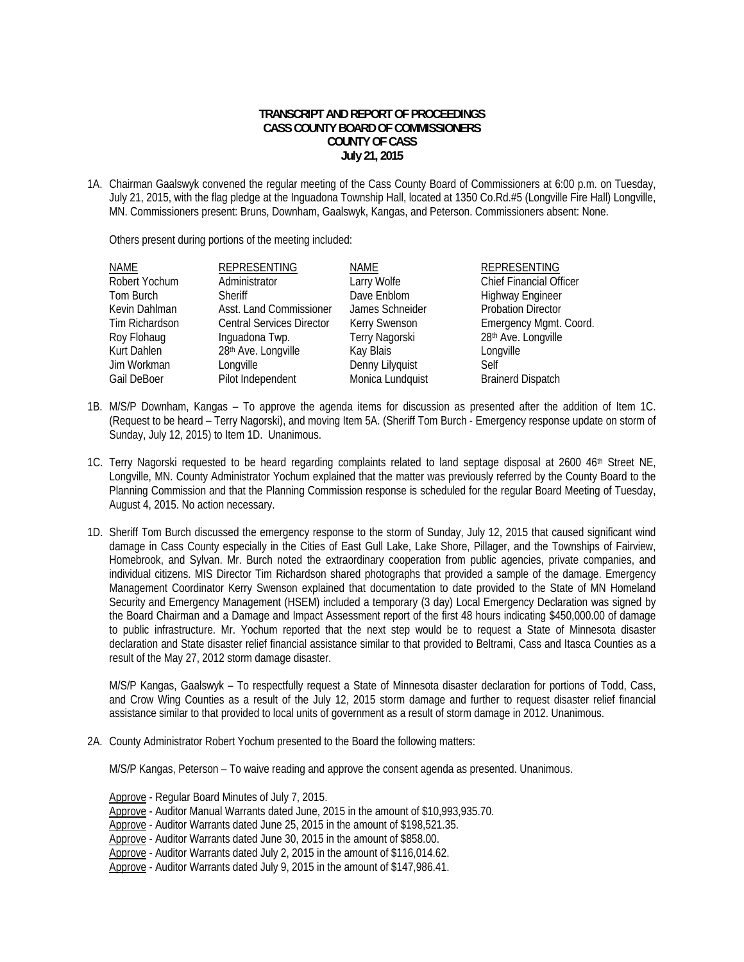## **TRANSCRIPT AND REPORT OF PROCEEDINGS CASS COUNTY BOARD OF COMMISSIONERS COUNTY OF CASS July 21, 2015**

1A. Chairman Gaalswyk convened the regular meeting of the Cass County Board of Commissioners at 6:00 p.m. on Tuesday, July 21, 2015, with the flag pledge at the Inguadona Township Hall, located at 1350 Co.Rd.#5 (Longville Fire Hall) Longville, MN. Commissioners present: Bruns, Downham, Gaalswyk, Kangas, and Peterson. Commissioners absent: None.

Others present during portions of the meeting included:

| NAME           | <b>REPRESENTING</b>              | <b>NAME</b>      | <b>REPRESENTING</b>       |
|----------------|----------------------------------|------------------|---------------------------|
| Robert Yochum  | Administrator                    | Larry Wolfe      | Chief Financial Officer   |
| Tom Burch      | Sheriff                          | Dave Enblom      | <b>Highway Engineer</b>   |
| Kevin Dahlman  | Asst. Land Commissioner          | James Schneider  | <b>Probation Director</b> |
| Tim Richardson | <b>Central Services Director</b> | Kerry Swenson    | Emergency Mgmt. Coord.    |
| Roy Flohaug    | Inguadona Twp.                   | Terry Nagorski   | 28th Ave. Longville       |
| Kurt Dahlen    | 28th Ave. Longville              | Kay Blais        | Longville                 |
| Jim Workman    | Longville                        | Denny Lilyquist  | Self                      |
| Gail DeBoer    | Pilot Independent                | Monica Lundquist | <b>Brainerd Dispatch</b>  |

- 1B. M/S/P Downham, Kangas To approve the agenda items for discussion as presented after the addition of Item 1C. (Request to be heard – Terry Nagorski), and moving Item 5A. (Sheriff Tom Burch - Emergency response update on storm of Sunday, July 12, 2015) to Item 1D. Unanimous.
- 1C. Terry Nagorski requested to be heard regarding complaints related to land septage disposal at  $2600\;46$ <sup>th</sup> Street NE, Longville, MN. County Administrator Yochum explained that the matter was previously referred by the County Board to the Planning Commission and that the Planning Commission response is scheduled for the regular Board Meeting of Tuesday, August 4, 2015. No action necessary.
- 1D. Sheriff Tom Burch discussed the emergency response to the storm of Sunday, July 12, 2015 that caused significant wind damage in Cass County especially in the Cities of East Gull Lake, Lake Shore, Pillager, and the Townships of Fairview, Homebrook, and Sylvan. Mr. Burch noted the extraordinary cooperation from public agencies, private companies, and individual citizens. MIS Director Tim Richardson shared photographs that provided a sample of the damage. Emergency Management Coordinator Kerry Swenson explained that documentation to date provided to the State of MN Homeland Security and Emergency Management (HSEM) included a temporary (3 day) Local Emergency Declaration was signed by the Board Chairman and a Damage and Impact Assessment report of the first 48 hours indicating \$450,000.00 of damage to public infrastructure. Mr. Yochum reported that the next step would be to request a State of Minnesota disaster declaration and State disaster relief financial assistance similar to that provided to Beltrami, Cass and Itasca Counties as a result of the May 27, 2012 storm damage disaster.

 M/S/P Kangas, Gaalswyk – To respectfully request a State of Minnesota disaster declaration for portions of Todd, Cass, and Crow Wing Counties as a result of the July 12, 2015 storm damage and further to request disaster relief financial assistance similar to that provided to local units of government as a result of storm damage in 2012. Unanimous.

2A. County Administrator Robert Yochum presented to the Board the following matters:

M/S/P Kangas, Peterson – To waive reading and approve the consent agenda as presented. Unanimous.

Approve - Regular Board Minutes of July 7, 2015.

Approve - Auditor Manual Warrants dated June, 2015 in the amount of \$10,993,935.70.

Approve - Auditor Warrants dated June 25, 2015 in the amount of \$198,521.35.

Approve - Auditor Warrants dated June 30, 2015 in the amount of \$858.00.

Approve - Auditor Warrants dated July 2, 2015 in the amount of \$116,014.62.

Approve - Auditor Warrants dated July 9, 2015 in the amount of \$147,986.41.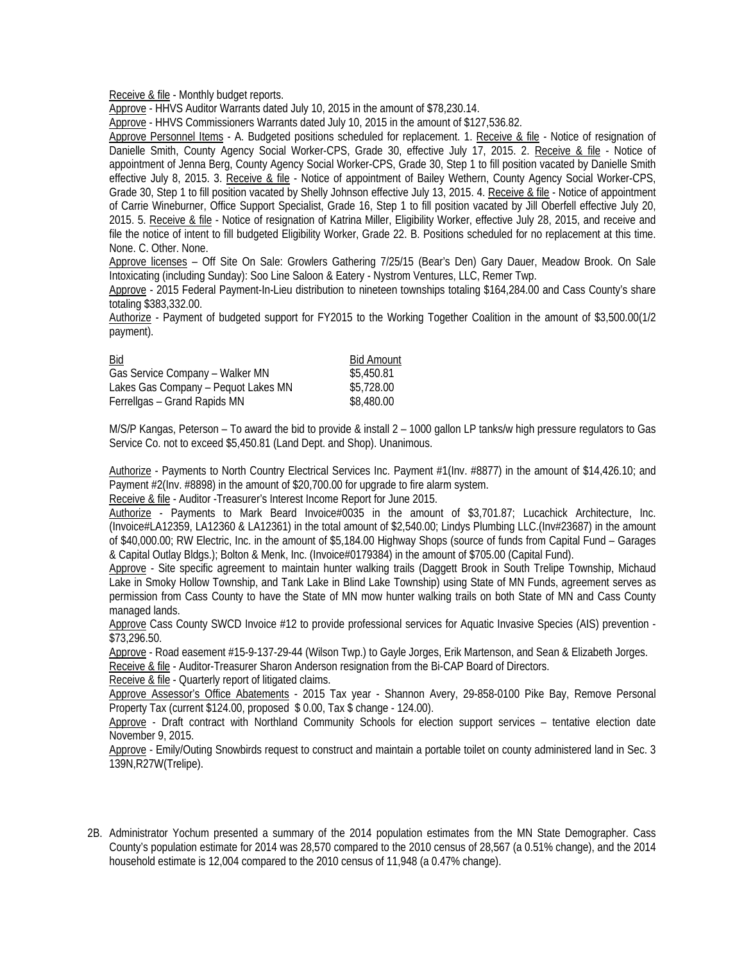Receive & file - Monthly budget reports.

Approve - HHVS Auditor Warrants dated July 10, 2015 in the amount of \$78,230.14.

Approve - HHVS Commissioners Warrants dated July 10, 2015 in the amount of \$127,536.82.

Approve Personnel Items - A. Budgeted positions scheduled for replacement. 1. Receive & file - Notice of resignation of Danielle Smith, County Agency Social Worker-CPS, Grade 30, effective July 17, 2015. 2. Receive & file - Notice of appointment of Jenna Berg, County Agency Social Worker-CPS, Grade 30, Step 1 to fill position vacated by Danielle Smith effective July 8, 2015. 3. Receive & file - Notice of appointment of Bailey Wethern, County Agency Social Worker-CPS, Grade 30, Step 1 to fill position vacated by Shelly Johnson effective July 13, 2015. 4. Receive & file - Notice of appointment of Carrie Wineburner, Office Support Specialist, Grade 16, Step 1 to fill position vacated by Jill Oberfell effective July 20, 2015. 5. Receive & file - Notice of resignation of Katrina Miller, Eligibility Worker, effective July 28, 2015, and receive and file the notice of intent to fill budgeted Eligibility Worker, Grade 22. B. Positions scheduled for no replacement at this time. None. C. Other. None.

Approve licenses – Off Site On Sale: Growlers Gathering 7/25/15 (Bear's Den) Gary Dauer, Meadow Brook. On Sale Intoxicating (including Sunday): Soo Line Saloon & Eatery - Nystrom Ventures, LLC, Remer Twp.

 Approve - 2015 Federal Payment-In-Lieu distribution to nineteen townships totaling \$164,284.00 and Cass County's share totaling \$383,332.00.

 Authorize - Payment of budgeted support for FY2015 to the Working Together Coalition in the amount of \$3,500.00(1/2 payment).

| Bid                                 | <b>Bid Amount</b> |
|-------------------------------------|-------------------|
| Gas Service Company - Walker MN     | \$5,450.81        |
| Lakes Gas Company - Pequot Lakes MN | \$5,728.00        |
| Ferrellgas - Grand Rapids MN        | \$8,480.00        |

 M/S/P Kangas, Peterson – To award the bid to provide & install 2 – 1000 gallon LP tanks/w high pressure regulators to Gas Service Co. not to exceed \$5,450.81 (Land Dept. and Shop). Unanimous.

 Authorize - Payments to North Country Electrical Services Inc. Payment #1(Inv. #8877) in the amount of \$14,426.10; and Payment #2(Inv. #8898) in the amount of \$20,700.00 for upgrade to fire alarm system.

Receive & file - Auditor -Treasurer's Interest Income Report for June 2015.

 Authorize - Payments to Mark Beard Invoice#0035 in the amount of \$3,701.87; Lucachick Architecture, Inc. (Invoice#LA12359, LA12360 & LA12361) in the total amount of \$2,540.00; Lindys Plumbing LLC.(Inv#23687) in the amount of \$40,000.00; RW Electric, Inc. in the amount of \$5,184.00 Highway Shops (source of funds from Capital Fund – Garages & Capital Outlay Bldgs.); Bolton & Menk, Inc. (Invoice#0179384) in the amount of \$705.00 (Capital Fund).

 Approve - Site specific agreement to maintain hunter walking trails (Daggett Brook in South Trelipe Township, Michaud Lake in Smoky Hollow Township, and Tank Lake in Blind Lake Township) using State of MN Funds, agreement serves as permission from Cass County to have the State of MN mow hunter walking trails on both State of MN and Cass County managed lands.

 Approve Cass County SWCD Invoice #12 to provide professional services for Aquatic Invasive Species (AIS) prevention - \$73,296.50.

Approve - Road easement #15-9-137-29-44 (Wilson Twp.) to Gayle Jorges, Erik Martenson, and Sean & Elizabeth Jorges.

Receive & file - Auditor-Treasurer Sharon Anderson resignation from the Bi-CAP Board of Directors.

Receive & file - Quarterly report of litigated claims.

Approve Assessor's Office Abatements - 2015 Tax year - Shannon Avery, 29-858-0100 Pike Bay, Remove Personal Property Tax (current \$124.00, proposed \$ 0.00, Tax \$ change - 124.00).

 Approve - Draft contract with Northland Community Schools for election support services – tentative election date November 9, 2015.

 Approve - Emily/Outing Snowbirds request to construct and maintain a portable toilet on county administered land in Sec. 3 139N,R27W(Trelipe).

2B. Administrator Yochum presented a summary of the 2014 population estimates from the MN State Demographer. Cass County's population estimate for 2014 was 28,570 compared to the 2010 census of 28,567 (a 0.51% change), and the 2014 household estimate is 12,004 compared to the 2010 census of 11,948 (a 0.47% change).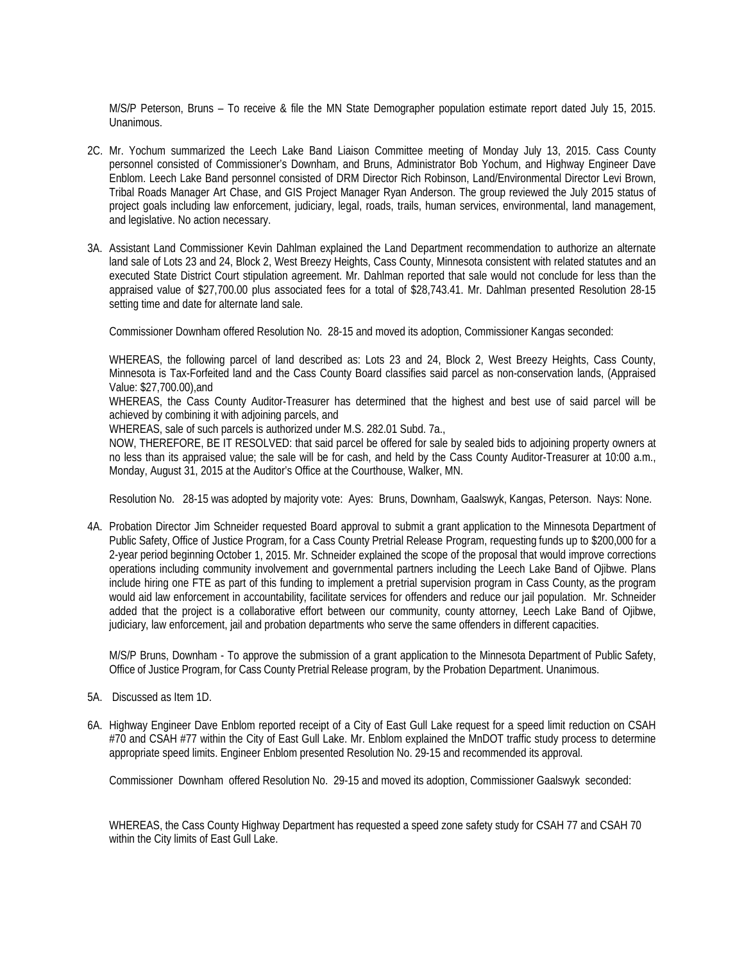M/S/P Peterson, Bruns – To receive & file the MN State Demographer population estimate report dated July 15, 2015. Unanimous.

- 2C. Mr. Yochum summarized the Leech Lake Band Liaison Committee meeting of Monday July 13, 2015. Cass County personnel consisted of Commissioner's Downham, and Bruns, Administrator Bob Yochum, and Highway Engineer Dave Enblom. Leech Lake Band personnel consisted of DRM Director Rich Robinson, Land/Environmental Director Levi Brown, Tribal Roads Manager Art Chase, and GIS Project Manager Ryan Anderson. The group reviewed the July 2015 status of project goals including law enforcement, judiciary, legal, roads, trails, human services, environmental, land management, and legislative. No action necessary.
- 3A. Assistant Land Commissioner Kevin Dahlman explained the Land Department recommendation to authorize an alternate land sale of Lots 23 and 24, Block 2, West Breezy Heights, Cass County, Minnesota consistent with related statutes and an executed State District Court stipulation agreement. Mr. Dahlman reported that sale would not conclude for less than the appraised value of \$27,700.00 plus associated fees for a total of \$28,743.41. Mr. Dahlman presented Resolution 28-15 setting time and date for alternate land sale.

Commissioner Downham offered Resolution No. 28-15 and moved its adoption, Commissioner Kangas seconded:

WHEREAS, the following parcel of land described as: Lots 23 and 24, Block 2, West Breezy Heights, Cass County, Minnesota is Tax-Forfeited land and the Cass County Board classifies said parcel as non-conservation lands, (Appraised Value: \$27,700.00),and

WHEREAS, the Cass County Auditor-Treasurer has determined that the highest and best use of said parcel will be achieved by combining it with adjoining parcels, and

WHEREAS, sale of such parcels is authorized under M.S. 282.01 Subd. 7a.,

NOW, THEREFORE, BE IT RESOLVED: that said parcel be offered for sale by sealed bids to adjoining property owners at no less than its appraised value; the sale will be for cash, and held by the Cass County Auditor-Treasurer at 10:00 a.m., Monday, August 31, 2015 at the Auditor's Office at the Courthouse, Walker, MN.

Resolution No. 28-15 was adopted by majority vote: Ayes: Bruns, Downham, Gaalswyk, Kangas, Peterson. Nays: None.

4A. Probation Director Jim Schneider requested Board approval to submit a grant application to the Minnesota Department of Public Safety, Office of Justice Program, for a Cass County Pretrial Release Program, requesting funds up to \$200,000 for a 2-year period beginning October 1, 2015. Mr. Schneider explained the scope of the proposal that would improve corrections operations including community involvement and governmental partners including the Leech Lake Band of Ojibwe. Plans include hiring one FTE as part of this funding to implement a pretrial supervision program in Cass County, as the program would aid law enforcement in accountability, facilitate services for offenders and reduce our jail population. Mr. Schneider added that the project is a collaborative effort between our community, county attorney, Leech Lake Band of Ojibwe, judiciary, law enforcement, jail and probation departments who serve the same offenders in different capacities.

M/S/P Bruns, Downham - To approve the submission of a grant application to the Minnesota Department of Public Safety, Office of Justice Program, for Cass County Pretrial Release program, by the Probation Department. Unanimous.

- 5A. Discussed as Item 1D.
- 6A. Highway Engineer Dave Enblom reported receipt of a City of East Gull Lake request for a speed limit reduction on CSAH #70 and CSAH #77 within the City of East Gull Lake. Mr. Enblom explained the MnDOT traffic study process to determine appropriate speed limits. Engineer Enblom presented Resolution No. 29-15 and recommended its approval.

Commissioner Downham offered Resolution No. 29-15 and moved its adoption, Commissioner Gaalswyk seconded:

 WHEREAS, the Cass County Highway Department has requested a speed zone safety study for CSAH 77 and CSAH 70 within the City limits of East Gull Lake.